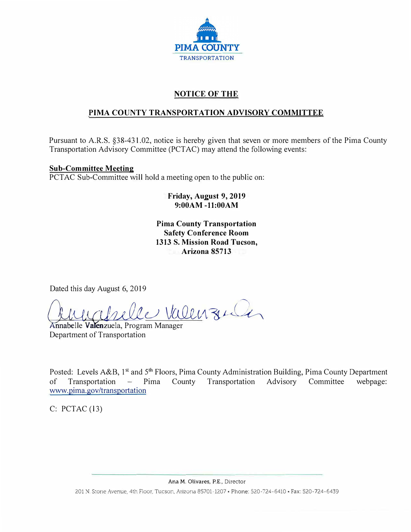

# **NOTICE OF THE**

# **PIMA COUNTY TRANSPORTATION ADVISORY COMMITTEE**

Pursuant to A.R.S. §38-431.02, notice is hereby given that seven or more members of the Pima County Transportation Advisory Committee (PCTAC) may attend the following events:

### **Sub-Committee Meeting**

PCTAC Sub-Committee will hold a meeting open to the public on:

**Friday, August 9, 2019 9:00AM -11:00AM**

**Pima County Transportation Safety Conference Room 1313 S. Mission Road Tucson, Arizona 85713** 

Dated this day August 6, 2019

*Qdw,;f!h&iu Vc&e,,<A �* 

Annabelle Valenzuela, Program Manager Department of Transportation

Posted: Levels A&B, 1<sup>st</sup> and 5<sup>th</sup> Floors, Pima County Administration Building, Pima County Department of Transportation – Pima County Transportation Advisory Committee webpage: www.pima.gov/transportation

 $C: PCTAC(13)$ 

Ana M. Olivares, P.E., Director

201 N. Stone Avenue, 4th Floor, Tucson. Arizona 85701-1207 • Phone: 520-724-6410 • Fax: 520-724-6439